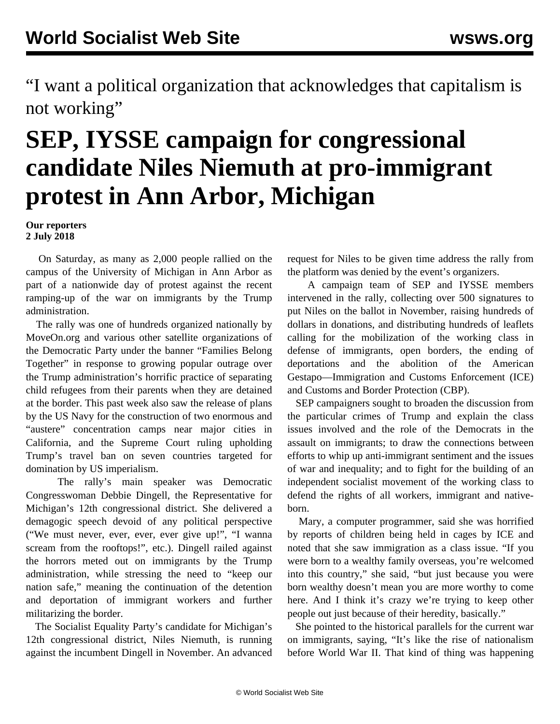"I want a political organization that acknowledges that capitalism is not working"

## **SEP, IYSSE campaign for congressional candidate Niles Niemuth at pro-immigrant protest in Ann Arbor, Michigan**

**Our reporters 2 July 2018**

 On Saturday, as many as 2,000 people rallied on the campus of the University of Michigan in Ann Arbor as part of a nationwide day of protest against the recent ramping-up of the war on immigrants by the Trump administration.

 The rally was one of hundreds organized nationally by MoveOn.org and various other satellite organizations of the Democratic Party under the banner "Families Belong Together" in response to growing popular outrage over the Trump administration's horrific practice of separating child refugees from their parents when they are detained at the border. This past week also saw the release of plans by the US Navy for the construction of two enormous and "austere" concentration camps near major cities in California, and the Supreme Court ruling upholding Trump's travel ban on seven countries targeted for domination by US imperialism.

 The rally's main speaker was Democratic Congresswoman Debbie Dingell, the Representative for Michigan's 12th congressional district. She delivered a demagogic speech devoid of any political perspective ("We must never, ever, ever, ever give up!", "I wanna scream from the rooftops!", etc.). Dingell railed against the horrors meted out on immigrants by the Trump administration, while stressing the need to "keep our nation safe," meaning the continuation of the detention and deportation of immigrant workers and further militarizing the border.

 The Socialist Equality Party's candidate for Michigan's 12th congressional district, Niles Niemuth, is running against the incumbent Dingell in November. An advanced request for Niles to be given time address the rally from the platform was denied by the event's organizers.

 A campaign team of SEP and IYSSE members intervened in the rally, collecting over 500 signatures to put Niles on the ballot in November, raising hundreds of dollars in donations, and distributing hundreds of leaflets calling for the mobilization of the working class in defense of immigrants, open borders, the ending of deportations and the abolition of the American Gestapo—Immigration and Customs Enforcement (ICE) and Customs and Border Protection (CBP).

 SEP campaigners sought to broaden the discussion from the particular crimes of Trump and explain the class issues involved and the role of the Democrats in the assault on immigrants; to draw the connections between efforts to whip up anti-immigrant sentiment and the issues of war and inequality; and to fight for the building of an independent socialist movement of the working class to defend the rights of all workers, immigrant and nativeborn.

 Mary, a computer programmer, said she was horrified by reports of children being held in cages by ICE and noted that she saw immigration as a class issue. "If you were born to a wealthy family overseas, you're welcomed into this country," she said, "but just because you were born wealthy doesn't mean you are more worthy to come here. And I think it's crazy we're trying to keep other people out just because of their heredity, basically."

 She pointed to the historical parallels for the current war on immigrants, saying, "It's like the rise of nationalism before World War II. That kind of thing was happening